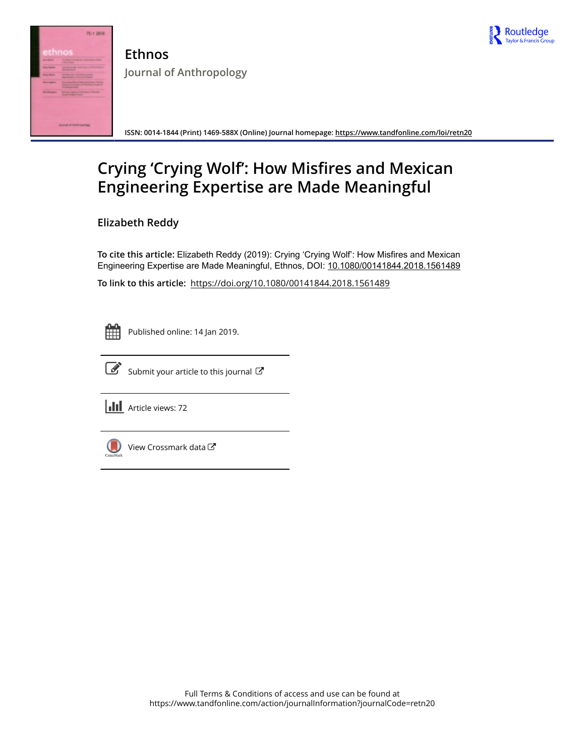

Ethnos Journal of Anthropology

ISSN: 0014-1844 (Print) 1469-588X (Online) Journal homepage:<https://www.tandfonline.com/loi/retn20>

# Crying 'Crying Wolf': How Misfires and Mexican Engineering Expertise are Made Meaningful

Elizabeth Reddy

To cite this article: Elizabeth Reddy (2019): Crying 'Crying Wolf': How Misfires and Mexican Engineering Expertise are Made Meaningful, Ethnos, DOI: [10.1080/00141844.2018.1561489](https://www.tandfonline.com/action/showCitFormats?doi=10.1080/00141844.2018.1561489)

To link to this article: <https://doi.org/10.1080/00141844.2018.1561489>



75:120:0

Published online: 14 Jan 2019.



 $\overline{\mathscr{G}}$  [Submit your article to this journal](https://www.tandfonline.com/action/authorSubmission?journalCode=retn20&show=instructions)  $\mathbb{G}$ 





[View Crossmark data](http://crossmark.crossref.org/dialog/?doi=10.1080/00141844.2018.1561489&domain=pdf&date_stamp=2019-01-14)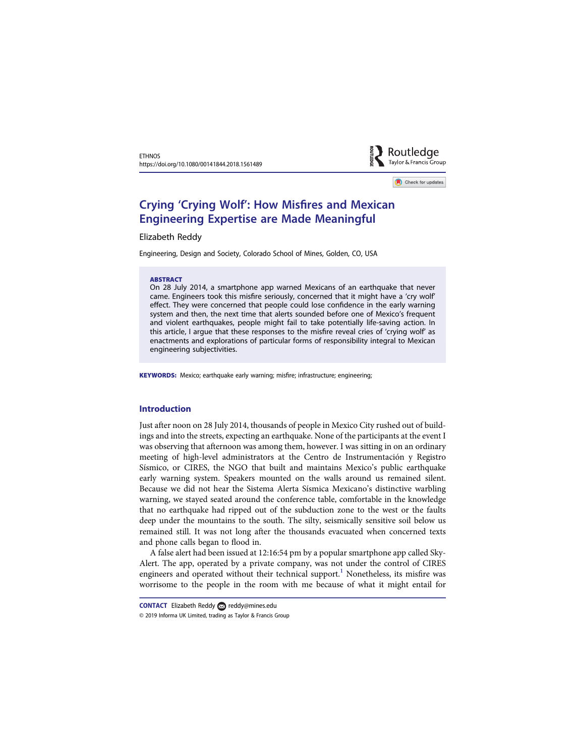**ETHNOS** https://doi.org/10.1080/00141844.2018.1561489



Check for updates

# Crying 'Crying Wolf': How Misfires and Mexican Engineering Expertise are Made Meaningful

Elizabeth Reddy

Engineering, Design and Society, Colorado School of Mines, Golden, CO, USA

#### ABSTRACT

On 28 July 2014, a smartphone app warned Mexicans of an earthquake that never came. Engineers took this misfire seriously, concerned that it might have a 'cry wolf' effect. They were concerned that people could lose confidence in the early warning system and then, the next time that alerts sounded before one of Mexico's frequent and violent earthquakes, people might fail to take potentially life-saving action. In this article, I argue that these responses to the misfire reveal cries of 'crying wolf' as enactments and explorations of particular forms of responsibility integral to Mexican engineering subjectivities.

KEYWORDS: Mexico; earthquake early warning; misfire; infrastructure; engineering;

# Introduction

Just after noon on 28 July 2014, thousands of people in Mexico City rushed out of buildings and into the streets, expecting an earthquake. None of the participants at the event I was observing that afternoon was among them, however. I was sitting in on an ordinary meeting of high-level administrators at the Centro de Instrumentación y Registro Sísmico, or CIRES, the NGO that built and maintains Mexico's public earthquake early warning system. Speakers mounted on the walls around us remained silent. Because we did not hear the Sistema Alerta Sísmica Mexicano's distinctive warbling warning, we stayed seated around the conference table, comfortable in the knowledge that no earthquake had ripped out of the subduction zone to the west or the faults deep under the mountains to the south. The silty, seismically sensitive soil below us remained still. It was not long after the thousands evacuated when concerned texts and phone calls began to flood in.

A false alert had been issued at 12:16:54 pm by a popular smartphone app called Sky-Alert. The app, operated by a private company, was not under the control of CIRES engineers and operated without their technical support.<sup>1</sup> Nonetheless, its misfire was worrisome to the people in the room with me because of what it might entail for

CONTACT Elizabeth Reddy a[reddy@mines.edu](mailto:reddy@mines.edu)

<sup>© 2019</sup> Informa UK Limited, trading as Taylor & Francis Group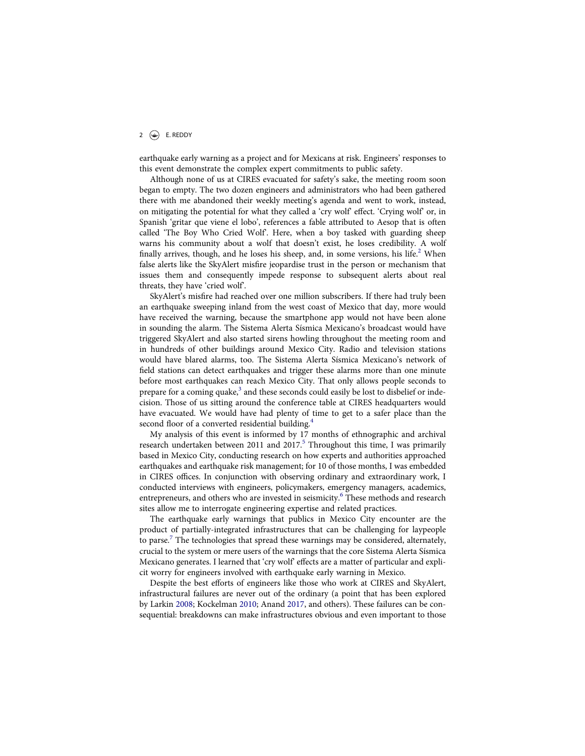# 2  $\bigodot$  E. REDDY

earthquake early warning as a project and for Mexicans at risk. Engineers' responses to this event demonstrate the complex expert commitments to public safety.

Although none of us at CIRES evacuated for safety's sake, the meeting room soon began to empty. The two dozen engineers and administrators who had been gathered there with me abandoned their weekly meeting's agenda and went to work, instead, on mitigating the potential for what they called a 'cry wolf' effect. 'Crying wolf' or, in Spanish 'gritar que viene el lobo', references a fable attributed to Aesop that is often called 'The Boy Who Cried Wolf'. Here, when a boy tasked with guarding sheep warns his community about a wolf that doesn't exist, he loses credibility. A wolf finally arrives, though, and he loses his sheep, and, in some versions, his life.<sup>2</sup> When false alerts like the SkyAlert misfire jeopardise trust in the person or mechanism that issues them and consequently impede response to subsequent alerts about real threats, they have 'cried wolf'.

SkyAlert's misfire had reached over one million subscribers. If there had truly been an earthquake sweeping inland from the west coast of Mexico that day, more would have received the warning, because the smartphone app would not have been alone in sounding the alarm. The Sistema Alerta Sísmica Mexicano's broadcast would have triggered SkyAlert and also started sirens howling throughout the meeting room and in hundreds of other buildings around Mexico City. Radio and television stations would have blared alarms, too. The Sistema Alerta Sísmica Mexicano's network of field stations can detect earthquakes and trigger these alarms more than one minute before most earthquakes can reach Mexico City. That only allows people seconds to prepare for a coming quake, $3$  and these seconds could easily be lost to disbelief or indecision. Those of us sitting around the conference table at CIRES headquarters would have evacuated. We would have had plenty of time to get to a safer place than the second floor of a converted residential building.<sup>4</sup>

My analysis of this event is informed by 17 months of ethnographic and archival research undertaken between 2011 and 2017.<sup>5</sup> Throughout this time, I was primarily based in Mexico City, conducting research on how experts and authorities approached earthquakes and earthquake risk management; for 10 of those months, I was embedded in CIRES offices. In conjunction with observing ordinary and extraordinary work, I conducted interviews with engineers, policymakers, emergency managers, academics, entrepreneurs, and others who are invested in seismicity.<sup>6</sup> These methods and research sites allow me to interrogate engineering expertise and related practices.

The earthquake early warnings that publics in Mexico City encounter are the product of partially-integrated infrastructures that can be challenging for laypeople to parse.<sup>7</sup> The technologies that spread these warnings may be considered, alternately, crucial to the system or mere users of the warnings that the core Sistema Alerta Sísmica Mexicano generates. I learned that 'cry wolf' effects are a matter of particular and explicit worry for engineers involved with earthquake early warning in Mexico.

Despite the best efforts of engineers like those who work at CIRES and SkyAlert, infrastructural failures are never out of the ordinary (a point that has been explored by Larkin 2008; Kockelman 2010; Anand 2017, and others). These failures can be consequential: breakdowns can make infrastructures obvious and even important to those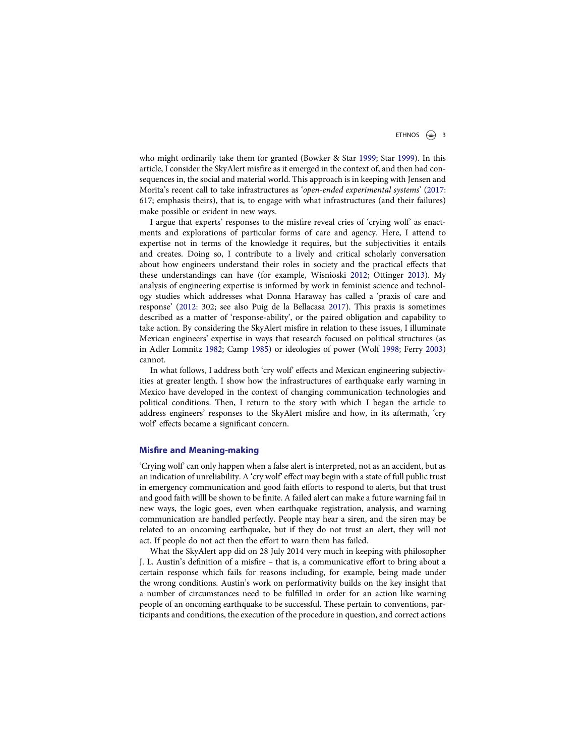who might ordinarily take them for granted (Bowker & Star 1999; Star 1999). In this article, I consider the SkyAlert misfire as it emerged in the context of, and then had consequences in, the social and material world. This approach is in keeping with Jensen and Morita's recent call to take infrastructures as 'open-ended experimental systems' (2017: 617; emphasis theirs), that is, to engage with what infrastructures (and their failures) make possible or evident in new ways.

I argue that experts' responses to the misfire reveal cries of 'crying wolf' as enactments and explorations of particular forms of care and agency. Here, I attend to expertise not in terms of the knowledge it requires, but the subjectivities it entails and creates. Doing so, I contribute to a lively and critical scholarly conversation about how engineers understand their roles in society and the practical effects that these understandings can have (for example, Wisnioski 2012; Ottinger 2013). My analysis of engineering expertise is informed by work in feminist science and technology studies which addresses what Donna Haraway has called a 'praxis of care and response' (2012: 302; see also Puig de la Bellacasa 2017). This praxis is sometimes described as a matter of 'response-ability', or the paired obligation and capability to take action. By considering the SkyAlert misfire in relation to these issues, I illuminate Mexican engineers' expertise in ways that research focused on political structures (as in Adler Lomnitz 1982; Camp 1985) or ideologies of power (Wolf 1998; Ferry 2003) cannot.

In what follows, I address both 'cry wolf' effects and Mexican engineering subjectivities at greater length. I show how the infrastructures of earthquake early warning in Mexico have developed in the context of changing communication technologies and political conditions. Then, I return to the story with which I began the article to address engineers' responses to the SkyAlert misfire and how, in its aftermath, 'cry wolf' effects became a significant concern.

# Misfire and Meaning-making

'Crying wolf' can only happen when a false alert is interpreted, not as an accident, but as an indication of unreliability. A 'cry wolf' effect may begin with a state of full public trust in emergency communication and good faith efforts to respond to alerts, but that trust and good faith willl be shown to be finite. A failed alert can make a future warning fail in new ways, the logic goes, even when earthquake registration, analysis, and warning communication are handled perfectly. People may hear a siren, and the siren may be related to an oncoming earthquake, but if they do not trust an alert, they will not act. If people do not act then the effort to warn them has failed.

What the SkyAlert app did on 28 July 2014 very much in keeping with philosopher J. L. Austin's definition of a misfire – that is, a communicative effort to bring about a certain response which fails for reasons including, for example, being made under the wrong conditions. Austin's work on performativity builds on the key insight that a number of circumstances need to be fulfilled in order for an action like warning people of an oncoming earthquake to be successful. These pertain to conventions, participants and conditions, the execution of the procedure in question, and correct actions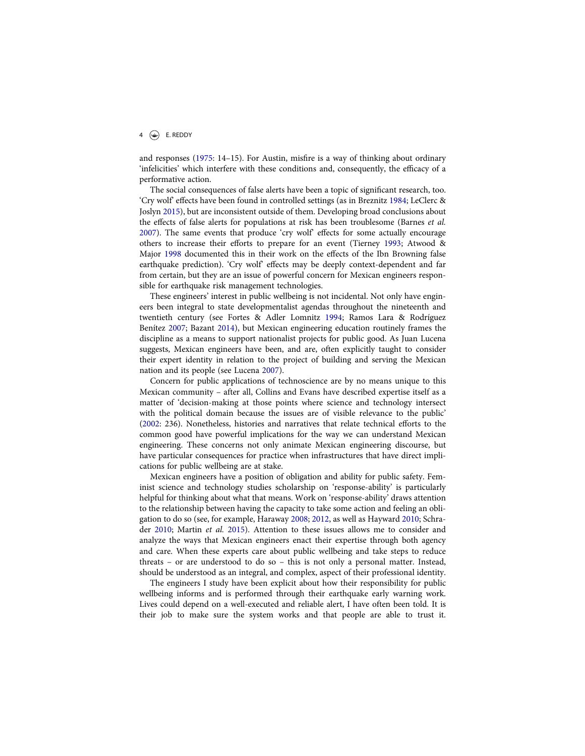# 4  $\bigodot$  E. REDDY

and responses (1975: 14–15). For Austin, misfire is a way of thinking about ordinary 'infelicities' which interfere with these conditions and, consequently, the efficacy of a performative action.

The social consequences of false alerts have been a topic of significant research, too. 'Cry wolf' effects have been found in controlled settings (as in Breznitz 1984; LeClerc & Joslyn 2015), but are inconsistent outside of them. Developing broad conclusions about the effects of false alerts for populations at risk has been troublesome (Barnes et al. 2007). The same events that produce 'cry wolf' effects for some actually encourage others to increase their efforts to prepare for an event (Tierney 1993; Atwood & Major 1998 documented this in their work on the effects of the Ibn Browning false earthquake prediction). 'Cry wolf' effects may be deeply context-dependent and far from certain, but they are an issue of powerful concern for Mexican engineers responsible for earthquake risk management technologies.

These engineers' interest in public wellbeing is not incidental. Not only have engineers been integral to state developmentalist agendas throughout the nineteenth and twentieth century (see Fortes & Adler Lomnitz 1994; Ramos Lara & Rodríguez Benítez 2007; Bazant 2014), but Mexican engineering education routinely frames the discipline as a means to support nationalist projects for public good. As Juan Lucena suggests, Mexican engineers have been, and are, often explicitly taught to consider their expert identity in relation to the project of building and serving the Mexican nation and its people (see Lucena 2007).

Concern for public applications of technoscience are by no means unique to this Mexican community – after all, Collins and Evans have described expertise itself as a matter of 'decision-making at those points where science and technology intersect with the political domain because the issues are of visible relevance to the public' (2002: 236). Nonetheless, histories and narratives that relate technical efforts to the common good have powerful implications for the way we can understand Mexican engineering. These concerns not only animate Mexican engineering discourse, but have particular consequences for practice when infrastructures that have direct implications for public wellbeing are at stake.

Mexican engineers have a position of obligation and ability for public safety. Feminist science and technology studies scholarship on 'response-ability' is particularly helpful for thinking about what that means. Work on 'response-ability' draws attention to the relationship between having the capacity to take some action and feeling an obligation to do so (see, for example, Haraway 2008; 2012, as well as Hayward 2010; Schrader 2010; Martin et al. 2015). Attention to these issues allows me to consider and analyze the ways that Mexican engineers enact their expertise through both agency and care. When these experts care about public wellbeing and take steps to reduce threats – or are understood to do so – this is not only a personal matter. Instead, should be understood as an integral, and complex, aspect of their professional identity.

The engineers I study have been explicit about how their responsibility for public wellbeing informs and is performed through their earthquake early warning work. Lives could depend on a well-executed and reliable alert, I have often been told. It is their job to make sure the system works and that people are able to trust it.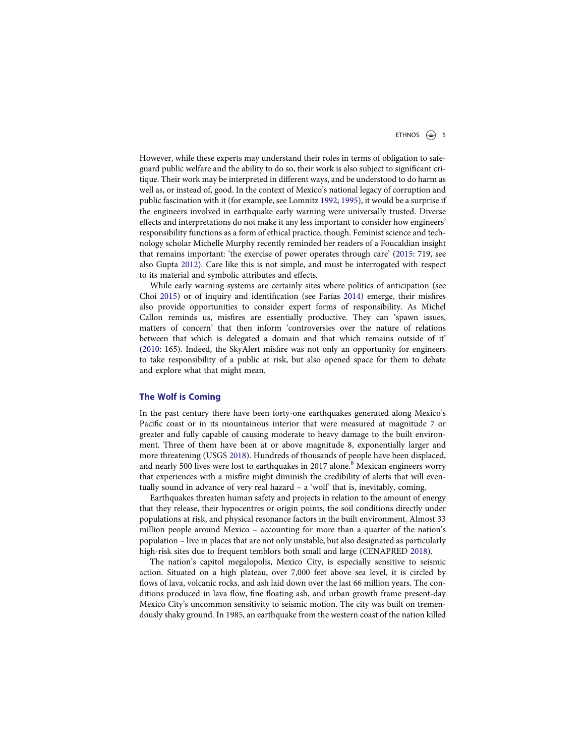However, while these experts may understand their roles in terms of obligation to safeguard public welfare and the ability to do so, their work is also subject to significant critique. Their work may be interpreted in different ways, and be understood to do harm as well as, or instead of, good. In the context of Mexico's national legacy of corruption and public fascination with it (for example, see Lomnitz 1992; 1995), it would be a surprise if the engineers involved in earthquake early warning were universally trusted. Diverse effects and interpretations do not make it any less important to consider how engineers' responsibility functions as a form of ethical practice, though. Feminist science and technology scholar Michelle Murphy recently reminded her readers of a Foucaldian insight that remains important: 'the exercise of power operates through care' (2015: 719, see also Gupta 2012). Care like this is not simple, and must be interrogated with respect to its material and symbolic attributes and effects.

While early warning systems are certainly sites where politics of anticipation (see Choi 2015) or of inquiry and identification (see Farías 2014) emerge, their misfires also provide opportunities to consider expert forms of responsibility. As Michel Callon reminds us, misfires are essentially productive. They can 'spawn issues, matters of concern' that then inform 'controversies over the nature of relations between that which is delegated a domain and that which remains outside of it' (2010: 165). Indeed, the SkyAlert misfire was not only an opportunity for engineers to take responsibility of a public at risk, but also opened space for them to debate and explore what that might mean.

# The Wolf is Coming

In the past century there have been forty-one earthquakes generated along Mexico's Pacific coast or in its mountainous interior that were measured at magnitude 7 or greater and fully capable of causing moderate to heavy damage to the built environment. Three of them have been at or above magnitude 8, exponentially larger and more threatening (USGS 2018). Hundreds of thousands of people have been displaced, and nearly 500 lives were lost to earthquakes in 2017 alone.<sup>8</sup> Mexican engineers worry that experiences with a misfire might diminish the credibility of alerts that will eventually sound in advance of very real hazard – a 'wolf' that is, inevitably, coming.

Earthquakes threaten human safety and projects in relation to the amount of energy that they release, their hypocentres or origin points, the soil conditions directly under populations at risk, and physical resonance factors in the built environment. Almost 33 million people around Mexico – accounting for more than a quarter of the nation's population – live in places that are not only unstable, but also designated as particularly high-risk sites due to frequent temblors both small and large (CENAPRED 2018).

The nation's capitol megalopolis, Mexico City, is especially sensitive to seismic action. Situated on a high plateau, over 7,000 feet above sea level, it is circled by flows of lava, volcanic rocks, and ash laid down over the last 66 million years. The conditions produced in lava flow, fine floating ash, and urban growth frame present-day Mexico City's uncommon sensitivity to seismic motion. The city was built on tremendously shaky ground. In 1985, an earthquake from the western coast of the nation killed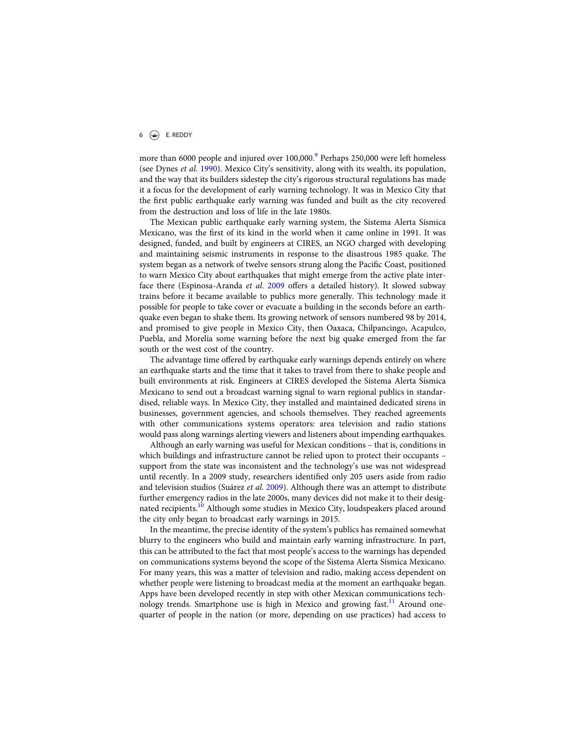# $6 \quad \circledast$  E. REDDY

more than 6000 people and injured over 100,000.<sup>9</sup> Perhaps 250,000 were left homeless (see Dynes et al. 1990). Mexico City's sensitivity, along with its wealth, its population, and the way that its builders sidestep the city's rigorous structural regulations has made it a focus for the development of early warning technology. It was in Mexico City that the first public earthquake early warning was funded and built as the city recovered from the destruction and loss of life in the late 1980s.

The Mexican public earthquake early warning system, the Sistema Alerta Sísmica Mexicano, was the first of its kind in the world when it came online in 1991. It was designed, funded, and built by engineers at CIRES, an NGO charged with developing and maintaining seismic instruments in response to the disastrous 1985 quake. The system began as a network of twelve sensors strung along the Pacific Coast, positioned to warn Mexico City about earthquakes that might emerge from the active plate interface there (Espinosa-Aranda et al. 2009 offers a detailed history). It slowed subway trains before it became available to publics more generally. This technology made it possible for people to take cover or evacuate a building in the seconds before an earthquake even began to shake them. Its growing network of sensors numbered 98 by 2014, and promised to give people in Mexico City, then Oaxaca, Chilpancingo, Acapulco, Puebla, and Morelia some warning before the next big quake emerged from the far south or the west cost of the country.

The advantage time offered by earthquake early warnings depends entirely on where an earthquake starts and the time that it takes to travel from there to shake people and built environments at risk. Engineers at CIRES developed the Sistema Alerta Sísmica Mexicano to send out a broadcast warning signal to warn regional publics in standardised, reliable ways. In Mexico City, they installed and maintained dedicated sirens in businesses, government agencies, and schools themselves. They reached agreements with other communications systems operators: area television and radio stations would pass along warnings alerting viewers and listeners about impending earthquakes.

Although an early warning was useful for Mexican conditions – that is, conditions in which buildings and infrastructure cannot be relied upon to protect their occupants – support from the state was inconsistent and the technology's use was not widespread until recently. In a 2009 study, researchers identified only 205 users aside from radio and television studios (Suárez et al. 2009). Although there was an attempt to distribute further emergency radios in the late 2000s, many devices did not make it to their designated recipients.<sup>10</sup> Although some studies in Mexico City, loudspeakers placed around the city only began to broadcast early warnings in 2015.

In the meantime, the precise identity of the system's publics has remained somewhat blurry to the engineers who build and maintain early warning infrastructure. In part, this can be attributed to the fact that most people's access to the warnings has depended on communications systems beyond the scope of the Sistema Alerta Sísmica Mexicano. For many years, this was a matter of television and radio, making access dependent on whether people were listening to broadcast media at the moment an earthquake began. Apps have been developed recently in step with other Mexican communications technology trends. Smartphone use is high in Mexico and growing fast.<sup>11</sup> Around onequarter of people in the nation (or more, depending on use practices) had access to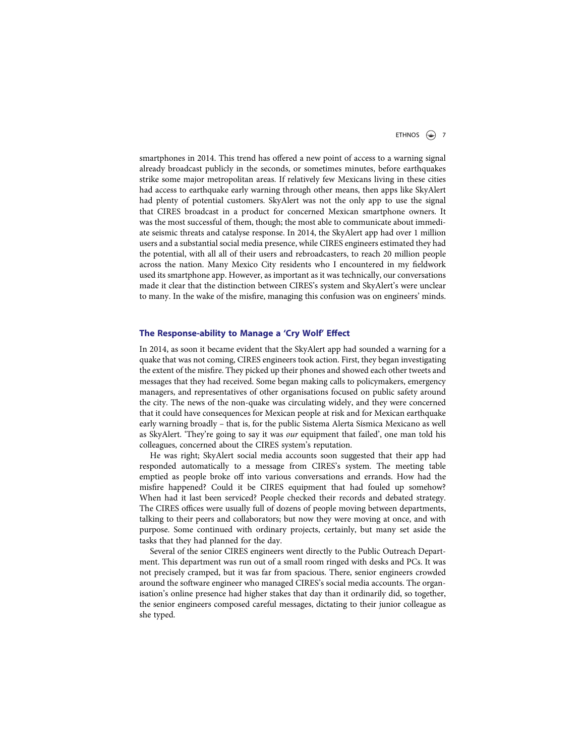smartphones in 2014. This trend has offered a new point of access to a warning signal already broadcast publicly in the seconds, or sometimes minutes, before earthquakes strike some major metropolitan areas. If relatively few Mexicans living in these cities had access to earthquake early warning through other means, then apps like SkyAlert had plenty of potential customers. SkyAlert was not the only app to use the signal that CIRES broadcast in a product for concerned Mexican smartphone owners. It was the most successful of them, though; the most able to communicate about immediate seismic threats and catalyse response. In 2014, the SkyAlert app had over 1 million users and a substantial social media presence, while CIRES engineers estimated they had the potential, with all all of their users and rebroadcasters, to reach 20 million people across the nation. Many Mexico City residents who I encountered in my fieldwork used its smartphone app. However, as important as it was technically, our conversations made it clear that the distinction between CIRES's system and SkyAlert's were unclear to many. In the wake of the misfire, managing this confusion was on engineers' minds.

#### The Response-ability to Manage a 'Cry Wolf' Effect

In 2014, as soon it became evident that the SkyAlert app had sounded a warning for a quake that was not coming, CIRES engineers took action. First, they began investigating the extent of the misfire. They picked up their phones and showed each other tweets and messages that they had received. Some began making calls to policymakers, emergency managers, and representatives of other organisations focused on public safety around the city. The news of the non-quake was circulating widely, and they were concerned that it could have consequences for Mexican people at risk and for Mexican earthquake early warning broadly – that is, for the public Sistema Alerta Sísmica Mexicano as well as SkyAlert. 'They're going to say it was our equipment that failed', one man told his colleagues, concerned about the CIRES system's reputation.

He was right; SkyAlert social media accounts soon suggested that their app had responded automatically to a message from CIRES's system. The meeting table emptied as people broke off into various conversations and errands. How had the misfire happened? Could it be CIRES equipment that had fouled up somehow? When had it last been serviced? People checked their records and debated strategy. The CIRES offices were usually full of dozens of people moving between departments, talking to their peers and collaborators; but now they were moving at once, and with purpose. Some continued with ordinary projects, certainly, but many set aside the tasks that they had planned for the day.

Several of the senior CIRES engineers went directly to the Public Outreach Department. This department was run out of a small room ringed with desks and PCs. It was not precisely cramped, but it was far from spacious. There, senior engineers crowded around the software engineer who managed CIRES's social media accounts. The organisation's online presence had higher stakes that day than it ordinarily did, so together, the senior engineers composed careful messages, dictating to their junior colleague as she typed.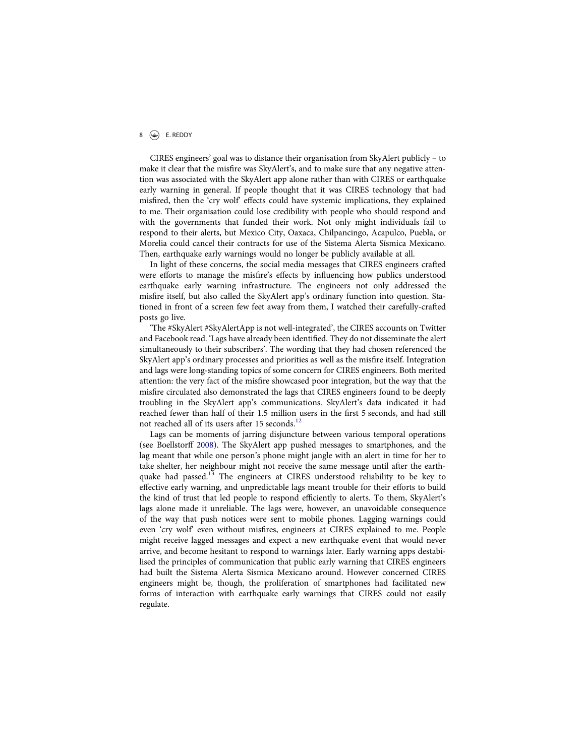# 8  $\bigodot$  E. REDDY

CIRES engineers' goal was to distance their organisation from SkyAlert publicly – to make it clear that the misfire was SkyAlert's, and to make sure that any negative attention was associated with the SkyAlert app alone rather than with CIRES or earthquake early warning in general. If people thought that it was CIRES technology that had misfired, then the 'cry wolf' effects could have systemic implications, they explained to me. Their organisation could lose credibility with people who should respond and with the governments that funded their work. Not only might individuals fail to respond to their alerts, but Mexico City, Oaxaca, Chilpancingo, Acapulco, Puebla, or Morelia could cancel their contracts for use of the Sistema Alerta Sísmica Mexicano. Then, earthquake early warnings would no longer be publicly available at all.

In light of these concerns, the social media messages that CIRES engineers crafted were efforts to manage the misfire's effects by influencing how publics understood earthquake early warning infrastructure. The engineers not only addressed the misfire itself, but also called the SkyAlert app's ordinary function into question. Stationed in front of a screen few feet away from them, I watched their carefully-crafted posts go live.

'The #SkyAlert #SkyAlertApp is not well-integrated', the CIRES accounts on Twitter and Facebook read. 'Lags have already been identified. They do not disseminate the alert simultaneously to their subscribers'. The wording that they had chosen referenced the SkyAlert app's ordinary processes and priorities as well as the misfire itself. Integration and lags were long-standing topics of some concern for CIRES engineers. Both merited attention: the very fact of the misfire showcased poor integration, but the way that the misfire circulated also demonstrated the lags that CIRES engineers found to be deeply troubling in the SkyAlert app's communications. SkyAlert's data indicated it had reached fewer than half of their 1.5 million users in the first 5 seconds, and had still not reached all of its users after 15 seconds.<sup>12</sup>

Lags can be moments of jarring disjuncture between various temporal operations (see Boellstorff 2008). The SkyAlert app pushed messages to smartphones, and the lag meant that while one person's phone might jangle with an alert in time for her to take shelter, her neighbour might not receive the same message until after the earthquake had passed.<sup>13</sup> The engineers at CIRES understood reliability to be key to effective early warning, and unpredictable lags meant trouble for their efforts to build the kind of trust that led people to respond efficiently to alerts. To them, SkyAlert's lags alone made it unreliable. The lags were, however, an unavoidable consequence of the way that push notices were sent to mobile phones. Lagging warnings could even 'cry wolf' even without misfires, engineers at CIRES explained to me. People might receive lagged messages and expect a new earthquake event that would never arrive, and become hesitant to respond to warnings later. Early warning apps destabilised the principles of communication that public early warning that CIRES engineers had built the Sistema Alerta Sísmica Mexicano around. However concerned CIRES engineers might be, though, the proliferation of smartphones had facilitated new forms of interaction with earthquake early warnings that CIRES could not easily regulate.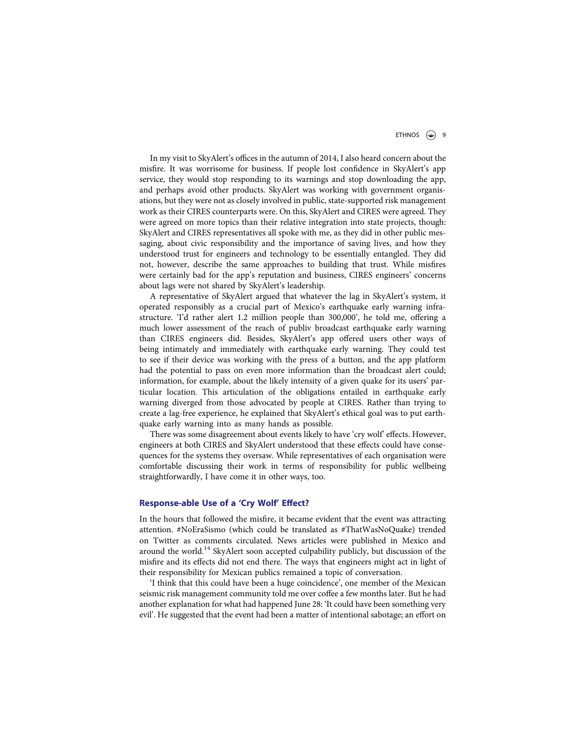# ETHNOS  $\circledast$  9

In my visit to SkyAlert's offices in the autumn of 2014, I also heard concern about the misfire. It was worrisome for business. If people lost confidence in SkyAlert's app service, they would stop responding to its warnings and stop downloading the app, and perhaps avoid other products. SkyAlert was working with government organisations, but they were not as closely involved in public, state-supported risk management work as their CIRES counterparts were. On this, SkyAlert and CIRES were agreed. They were agreed on more topics than their relative integration into state projects, though: SkyAlert and CIRES representatives all spoke with me, as they did in other public messaging, about civic responsibility and the importance of saving lives, and how they understood trust for engineers and technology to be essentially entangled. They did not, however, describe the same approaches to building that trust. While misfires were certainly bad for the app's reputation and business, CIRES engineers' concerns about lags were not shared by SkyAlert's leadership.

A representative of SkyAlert argued that whatever the lag in SkyAlert's system, it operated responsibly as a crucial part of Mexico's earthquake early warning infrastructure. 'I'd rather alert 1.2 million people than 300,000', he told me, offering a much lower assessment of the reach of publiv broadcast earthquake early warning than CIRES engineers did. Besides, SkyAlert's app offered users other ways of being intimately and immediately with earthquake early warning. They could test to see if their device was working with the press of a button, and the app platform had the potential to pass on even more information than the broadcast alert could; information, for example, about the likely intensity of a given quake for its users' particular location. This articulation of the obligations entailed in earthquake early warning diverged from those advocated by people at CIRES. Rather than trying to create a lag-free experience, he explained that SkyAlert's ethical goal was to put earthquake early warning into as many hands as possible.

There was some disagreement about events likely to have 'cry wolf' effects. However, engineers at both CIRES and SkyAlert understood that these effects could have consequences for the systems they oversaw. While representatives of each organisation were comfortable discussing their work in terms of responsibility for public wellbeing straightforwardly, I have come it in other ways, too.

#### Response-able Use of a 'Cry Wolf' Effect?

In the hours that followed the misfire, it became evident that the event was attracting attention. #NoEraSismo (which could be translated as #ThatWasNoQuake) trended on Twitter as comments circulated. News articles were published in Mexico and around the world.<sup>14</sup> SkyAlert soon accepted culpability publicly, but discussion of the misfire and its effects did not end there. The ways that engineers might act in light of their responsibility for Mexican publics remained a topic of conversation.

'I think that this could have been a huge coincidence', one member of the Mexican seismic risk management community told me over coffee a few months later. But he had another explanation for what had happened June 28: 'It could have been something very evil'. He suggested that the event had been a matter of intentional sabotage; an effort on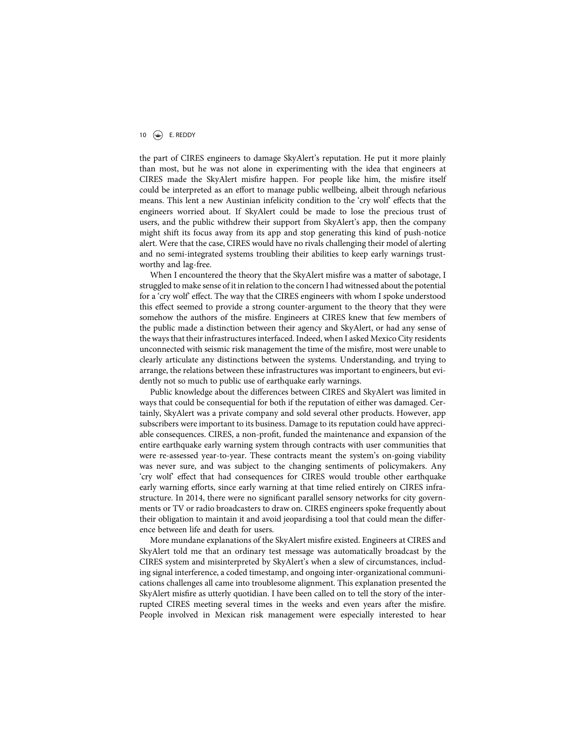# 10  $\left(\frac{1}{2}\right)$  E. REDDY

the part of CIRES engineers to damage SkyAlert's reputation. He put it more plainly than most, but he was not alone in experimenting with the idea that engineers at CIRES made the SkyAlert misfire happen. For people like him, the misfire itself could be interpreted as an effort to manage public wellbeing, albeit through nefarious means. This lent a new Austinian infelicity condition to the 'cry wolf' effects that the engineers worried about. If SkyAlert could be made to lose the precious trust of users, and the public withdrew their support from SkyAlert's app, then the company might shift its focus away from its app and stop generating this kind of push-notice alert. Were that the case, CIRES would have no rivals challenging their model of alerting and no semi-integrated systems troubling their abilities to keep early warnings trustworthy and lag-free.

When I encountered the theory that the SkyAlert misfire was a matter of sabotage, I struggled to make sense of it in relation to the concern I had witnessed about the potential for a 'cry wolf' effect. The way that the CIRES engineers with whom I spoke understood this effect seemed to provide a strong counter-argument to the theory that they were somehow the authors of the misfire. Engineers at CIRES knew that few members of the public made a distinction between their agency and SkyAlert, or had any sense of the ways that their infrastructures interfaced. Indeed, when I asked Mexico City residents unconnected with seismic risk management the time of the misfire, most were unable to clearly articulate any distinctions between the systems. Understanding, and trying to arrange, the relations between these infrastructures was important to engineers, but evidently not so much to public use of earthquake early warnings.

Public knowledge about the differences between CIRES and SkyAlert was limited in ways that could be consequential for both if the reputation of either was damaged. Certainly, SkyAlert was a private company and sold several other products. However, app subscribers were important to its business. Damage to its reputation could have appreciable consequences. CIRES, a non-profit, funded the maintenance and expansion of the entire earthquake early warning system through contracts with user communities that were re-assessed year-to-year. These contracts meant the system's on-going viability was never sure, and was subject to the changing sentiments of policymakers. Any 'cry wolf' effect that had consequences for CIRES would trouble other earthquake early warning efforts, since early warning at that time relied entirely on CIRES infrastructure. In 2014, there were no significant parallel sensory networks for city governments or TV or radio broadcasters to draw on. CIRES engineers spoke frequently about their obligation to maintain it and avoid jeopardising a tool that could mean the difference between life and death for users.

More mundane explanations of the SkyAlert misfire existed. Engineers at CIRES and SkyAlert told me that an ordinary test message was automatically broadcast by the CIRES system and misinterpreted by SkyAlert's when a slew of circumstances, including signal interference, a coded timestamp, and ongoing inter-organizational communications challenges all came into troublesome alignment. This explanation presented the SkyAlert misfire as utterly quotidian. I have been called on to tell the story of the interrupted CIRES meeting several times in the weeks and even years after the misfire. People involved in Mexican risk management were especially interested to hear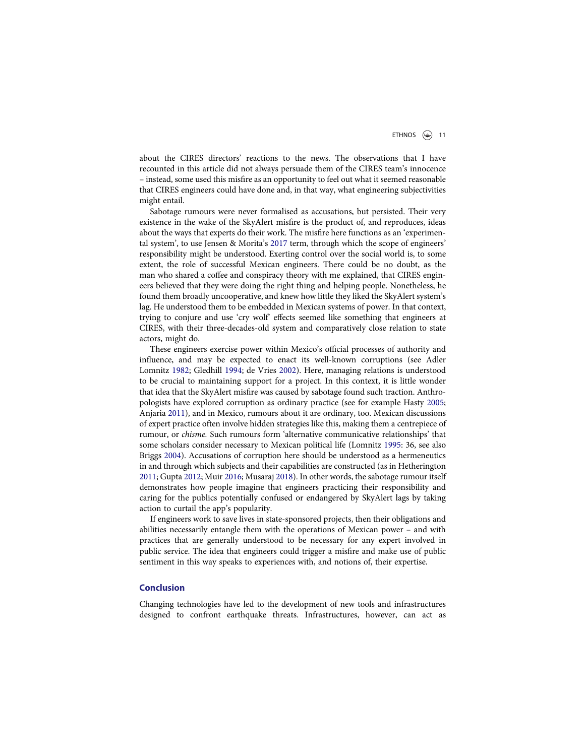about the CIRES directors' reactions to the news. The observations that I have recounted in this article did not always persuade them of the CIRES team's innocence – instead, some used this misfire as an opportunity to feel out what it seemed reasonable that CIRES engineers could have done and, in that way, what engineering subjectivities might entail.

Sabotage rumours were never formalised as accusations, but persisted. Their very existence in the wake of the SkyAlert misfire is the product of, and reproduces, ideas about the ways that experts do their work. The misfire here functions as an 'experimental system', to use Jensen & Morita's 2017 term, through which the scope of engineers' responsibility might be understood. Exerting control over the social world is, to some extent, the role of successful Mexican engineers. There could be no doubt, as the man who shared a coffee and conspiracy theory with me explained, that CIRES engineers believed that they were doing the right thing and helping people. Nonetheless, he found them broadly uncooperative, and knew how little they liked the SkyAlert system's lag. He understood them to be embedded in Mexican systems of power. In that context, trying to conjure and use 'cry wolf' effects seemed like something that engineers at CIRES, with their three-decades-old system and comparatively close relation to state actors, might do.

These engineers exercise power within Mexico's official processes of authority and influence, and may be expected to enact its well-known corruptions (see Adler Lomnitz 1982; Gledhill 1994; de Vries 2002). Here, managing relations is understood to be crucial to maintaining support for a project. In this context, it is little wonder that idea that the SkyAlert misfire was caused by sabotage found such traction. Anthropologists have explored corruption as ordinary practice (see for example Hasty 2005; Anjaria 2011), and in Mexico, rumours about it are ordinary, too. Mexican discussions of expert practice often involve hidden strategies like this, making them a centrepiece of rumour, or chisme. Such rumours form 'alternative communicative relationships' that some scholars consider necessary to Mexican political life (Lomnitz 1995: 36, see also Briggs 2004). Accusations of corruption here should be understood as a hermeneutics in and through which subjects and their capabilities are constructed (as in Hetherington 2011; Gupta 2012; Muir 2016; Musaraj 2018). In other words, the sabotage rumour itself demonstrates how people imagine that engineers practicing their responsibility and caring for the publics potentially confused or endangered by SkyAlert lags by taking action to curtail the app's popularity.

If engineers work to save lives in state-sponsored projects, then their obligations and abilities necessarily entangle them with the operations of Mexican power – and with practices that are generally understood to be necessary for any expert involved in public service. The idea that engineers could trigger a misfire and make use of public sentiment in this way speaks to experiences with, and notions of, their expertise.

# **Conclusion**

Changing technologies have led to the development of new tools and infrastructures designed to confront earthquake threats. Infrastructures, however, can act as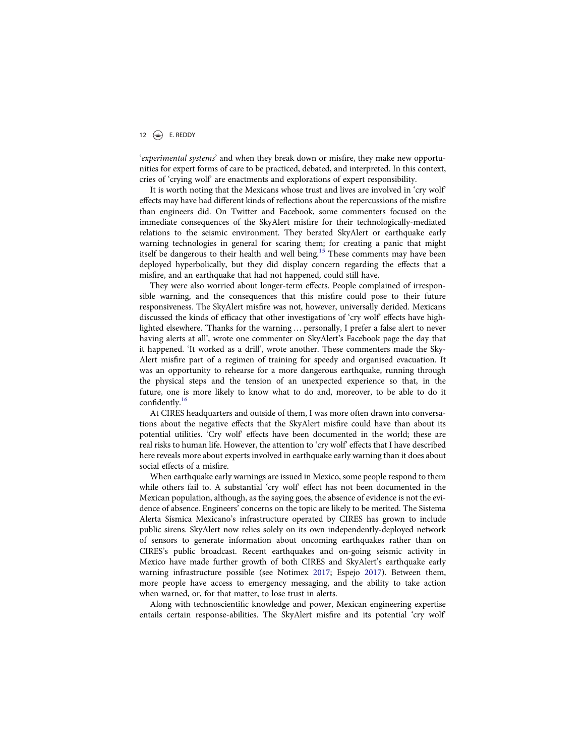# 12  $\left(\bigstar\right)$  E. REDDY

'experimental systems' and when they break down or misfire, they make new opportunities for expert forms of care to be practiced, debated, and interpreted. In this context, cries of 'crying wolf' are enactments and explorations of expert responsibility.

It is worth noting that the Mexicans whose trust and lives are involved in 'cry wolf' effects may have had different kinds of reflections about the repercussions of the misfire than engineers did. On Twitter and Facebook, some commenters focused on the immediate consequences of the SkyAlert misfire for their technologically-mediated relations to the seismic environment. They berated SkyAlert or earthquake early warning technologies in general for scaring them; for creating a panic that might itself be dangerous to their health and well being.<sup>15</sup> These comments may have been deployed hyperbolically, but they did display concern regarding the effects that a misfire, and an earthquake that had not happened, could still have.

They were also worried about longer-term effects. People complained of irresponsible warning, and the consequences that this misfire could pose to their future responsiveness. The SkyAlert misfire was not, however, universally derided. Mexicans discussed the kinds of efficacy that other investigations of 'cry wolf' effects have highlighted elsewhere. 'Thanks for the warning … personally, I prefer a false alert to never having alerts at all', wrote one commenter on SkyAlert's Facebook page the day that it happened. 'It worked as a drill', wrote another. These commenters made the Sky-Alert misfire part of a regimen of training for speedy and organised evacuation. It was an opportunity to rehearse for a more dangerous earthquake, running through the physical steps and the tension of an unexpected experience so that, in the future, one is more likely to know what to do and, moreover, to be able to do it confidently.<sup>16</sup>

At CIRES headquarters and outside of them, I was more often drawn into conversations about the negative effects that the SkyAlert misfire could have than about its potential utilities. 'Cry wolf' effects have been documented in the world; these are real risks to human life. However, the attention to 'cry wolf' effects that I have described here reveals more about experts involved in earthquake early warning than it does about social effects of a misfire.

When earthquake early warnings are issued in Mexico, some people respond to them while others fail to. A substantial 'cry wolf' effect has not been documented in the Mexican population, although, as the saying goes, the absence of evidence is not the evidence of absence. Engineers' concerns on the topic are likely to be merited. The Sistema Alerta Sísmica Mexicano's infrastructure operated by CIRES has grown to include public sirens. SkyAlert now relies solely on its own independently-deployed network of sensors to generate information about oncoming earthquakes rather than on CIRES's public broadcast. Recent earthquakes and on-going seismic activity in Mexico have made further growth of both CIRES and SkyAlert's earthquake early warning infrastructure possible (see Notimex 2017; Espejo 2017). Between them, more people have access to emergency messaging, and the ability to take action when warned, or, for that matter, to lose trust in alerts.

Along with technoscientific knowledge and power, Mexican engineering expertise entails certain response-abilities. The SkyAlert misfire and its potential 'cry wolf'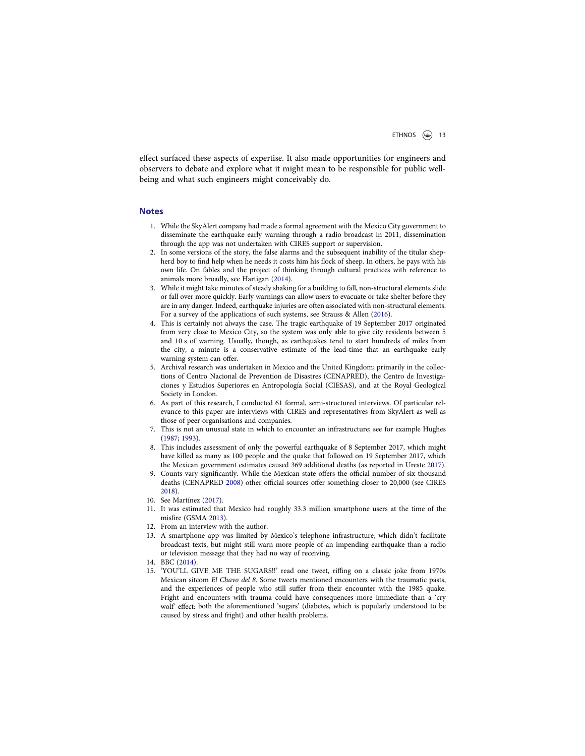effect surfaced these aspects of expertise. It also made opportunities for engineers and observers to debate and explore what it might mean to be responsible for public wellbeing and what such engineers might conceivably do.

### **Notes**

- 1. While the SkyAlert company had made a formal agreement with the Mexico City government to disseminate the earthquake early warning through a radio broadcast in 2011, dissemination through the app was not undertaken with CIRES support or supervision.
- 2. In some versions of the story, the false alarms and the subsequent inability of the titular shepherd boy to find help when he needs it costs him his flock of sheep. In others, he pays with his own life. On fables and the project of thinking through cultural practices with reference to animals more broadly, see Hartigan (2014).
- 3. While it might take minutes of steady shaking for a building to fall, non-structural elements slide or fall over more quickly. Early warnings can allow users to evacuate or take shelter before they are in any danger. Indeed, earthquake injuries are often associated with non-structural elements. For a survey of the applications of such systems, see Strauss & Allen (2016).
- 4. This is certainly not always the case. The tragic earthquake of 19 September 2017 originated from very close to Mexico City, so the system was only able to give city residents between 5 and 10 s of warning. Usually, though, as earthquakes tend to start hundreds of miles from the city, a minute is a conservative estimate of the lead-time that an earthquake early warning system can offer.
- 5. Archival research was undertaken in Mexico and the United Kingdom; primarily in the collections of Centro Nacional de Prevention de Disastres (CENAPRED), the Centro de Investigaciones y Estudios Superiores en Antropología Social (CIESAS), and at the Royal Geological Society in London.
- 6. As part of this research, I conducted 61 formal, semi-structured interviews. Of particular relevance to this paper are interviews with CIRES and representatives from SkyAlert as well as those of peer organisations and companies.
- 7. This is not an unusual state in which to encounter an infrastructure; see for example Hughes (1987; 1993).
- 8. This includes assessment of only the powerful earthquake of 8 September 2017, which might have killed as many as 100 people and the quake that followed on 19 September 2017, which the Mexican government estimates caused 369 additional deaths (as reported in Ureste 2017).
- 9. Counts vary significantly. While the Mexican state offers the official number of six thousand deaths (CENAPRED 2008) other official sources offer something closer to 20,000 (see CIRES 2018).
- 10. See Martínez (2017).
- 11. It was estimated that Mexico had roughly 33.3 million smartphone users at the time of the misfire (GSMA 2013).
- 12. From an interview with the author.
- 13. A smartphone app was limited by Mexico's telephone infrastructure, which didn't facilitate broadcast texts, but might still warn more people of an impending earthquake than a radio or television message that they had no way of receiving.
- 14. BBC (2014).
- 15. 'YOU'LL GIVE ME THE SUGARS!!' read one tweet, riffing on a classic joke from 1970s Mexican sitcom El Chavo del 8. Some tweets mentioned encounters with the traumatic pasts, and the experiences of people who still suffer from their encounter with the 1985 quake. Fright and encounters with trauma could have consequences more immediate than a 'cry wolf' effect: both the aforementioned 'sugars' (diabetes, which is popularly understood to be caused by stress and fright) and other health problems.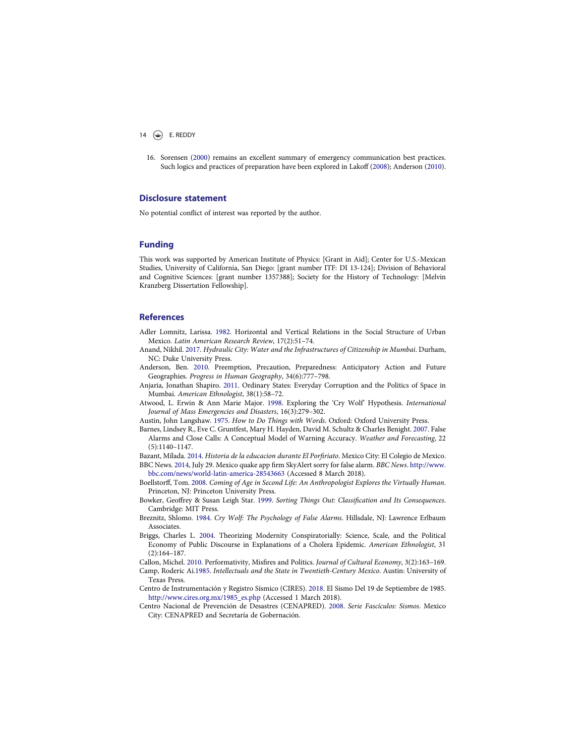# 14  $\left(\bigstar\right)$  E. REDDY

16. Sorensen (2000) remains an excellent summary of emergency communication best practices. Such logics and practices of preparation have been explored in Lakoff (2008); Anderson (2010).

#### Disclosure statement

No potential conflict of interest was reported by the author.

#### Funding

This work was supported by American Institute of Physics: [Grant in Aid]; Center for U.S.-Mexican Studies, University of California, San Diego: [grant number ITF: DI 13-124]; Division of Behavioral and Cognitive Sciences: [grant number 1357388]; Society for the History of Technology: [Melvin Kranzberg Dissertation Fellowship].

#### **References**

- Adler Lomnitz, Larissa. 1982. Horizontal and Vertical Relations in the Social Structure of Urban Mexico. Latin American Research Review, 17(2):51–74.
- Anand, Nikhil. 2017. Hydraulic City: Water and the Infrastructures of Citizenship in Mumbai. Durham, NC: Duke University Press.
- Anderson, Ben. 2010. Preemption, Precaution, Preparedness: Anticipatory Action and Future Geographies. Progress in Human Geography, 34(6):777–798.
- Anjaria, Jonathan Shapiro. 2011. Ordinary States: Everyday Corruption and the Politics of Space in Mumbai. American Ethnologist, 38(1):58–72.
- Atwood, L. Erwin & Ann Marie Major. 1998. Exploring the 'Cry Wolf' Hypothesis. International Journal of Mass Emergencies and Disasters, 16(3):279–302.
- Austin, John Langshaw. 1975. How to Do Things with Words. Oxford: Oxford University Press.
- Barnes, Lindsey R., Eve C. Gruntfest, Mary H. Hayden, David M. Schultz & Charles Benight. 2007. False Alarms and Close Calls: A Conceptual Model of Warning Accuracy. Weather and Forecasting, 22 (5):1140–1147.

Bazant, Mílada. 2014. Historia de la educacion durante El Porfiriato. Mexico City: El Colegio de Mexico. BBC News. 2014, July 29. Mexico quake app firm SkyAlert sorry for false alarm. BBC News. [http://www.](http://www.bbc.com/news/world-latin-america-28543663) [bbc.com/news/world-latin-america-28543663](http://www.bbc.com/news/world-latin-america-28543663) (Accessed 8 March 2018).

- Boellstorff, Tom. 2008. Coming of Age in Second Life: An Anthropologist Explores the Virtually Human. Princeton, NJ: Princeton University Press.
- Bowker, Geoffrey & Susan Leigh Star. 1999. Sorting Things Out: Classification and Its Consequences. Cambridge: MIT Press.
- Breznitz, Shlomo. 1984. Cry Wolf: The Psychology of False Alarms. Hillsdale, NJ: Lawrence Erlbaum Associates.
- Briggs, Charles L. 2004. Theorizing Modernity Conspiratorially: Science, Scale, and the Political Economy of Public Discourse in Explanations of a Cholera Epidemic. American Ethnologist, 31 (2):164–187.
- Callon, Michel. 2010. Performativity, Misfires and Politics. Journal of Cultural Economy, 3(2):163–169. Camp, Roderic Ai.1985. Intellectuals and the State in Twentieth-Century Mexico. Austin: University of Texas Press.
- Centro de Instrumentación y Registro Sísmico (CIRES). 2018. El Sismo Del 19 de Septiembre de 1985. [http://www.cires.org.mx/1985\\_es.php](http://www.cires.org.mx/1985_es.php) (Accessed 1 March 2018).
- Centro Nacional de Prevención de Desastres (CENAPRED). 2008. Serie Fascículos: Sismos. Mexico City: CENAPRED and Secretaría de Gobernación.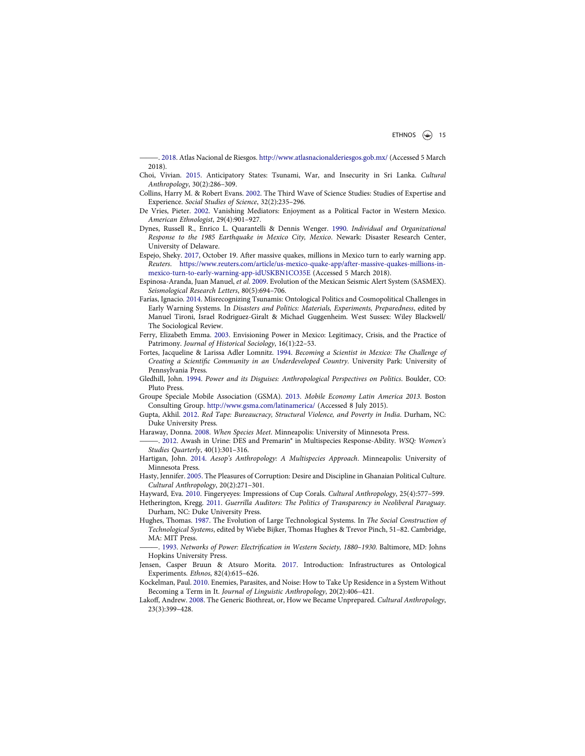———. 2018. Atlas Nacional de Riesgos. <http://www.atlasnacionalderiesgos.gob.mx/> (Accessed 5 March 2018).

- Choi, Vivian. 2015. Anticipatory States: Tsunami, War, and Insecurity in Sri Lanka. Cultural Anthropology, 30(2):286–309.
- Collins, Harry M. & Robert Evans. 2002. The Third Wave of Science Studies: Studies of Expertise and Experience. Social Studies of Science, 32(2):235–296.
- De Vries, Pieter. 2002. Vanishing Mediators: Enjoyment as a Political Factor in Western Mexico. American Ethnologist, 29(4):901–927.
- Dynes, Russell R., Enrico L. Quarantelli & Dennis Wenger. 1990. Individual and Organizational Response to the 1985 Earthquake in Mexico City, Mexico. Newark: Disaster Research Center, University of Delaware.
- Espejo, Sheky. 2017, October 19. After massive quakes, millions in Mexico turn to early warning app. Reuters. [https://www.reuters.com/article/us-mexico-quake-app/after-massive-quakes-millions-in](https://www.reuters.com/article/us-mexico-quake-app/after-massive-quakes-millions-in-mexico-turn-to-early-warning-app-idUSKBN1CO35E)[mexico-turn-to-early-warning-app-idUSKBN1CO35E](https://www.reuters.com/article/us-mexico-quake-app/after-massive-quakes-millions-in-mexico-turn-to-early-warning-app-idUSKBN1CO35E) (Accessed 5 March 2018).
- Espinosa-Aranda, Juan Manuel, et al. 2009. Evolution of the Mexican Seismic Alert System (SASMEX). Seismological Research Letters, 80(5):694–706.
- Farías, Ignacio. 2014. Misrecognizing Tsunamis: Ontological Politics and Cosmopolitical Challenges in Early Warning Systems. In Disasters and Politics: Materials, Experiments, Preparedness, edited by Manuel Tironi, Israel Rodriguez-Giralt & Michael Guggenheim. West Sussex: Wiley Blackwell/ The Sociological Review.
- Ferry, Elizabeth Emma. 2003. Envisioning Power in Mexico: Legitimacy, Crisis, and the Practice of Patrimony. Journal of Historical Sociology, 16(1):22–53.
- Fortes, Jacqueline & Larissa Adler Lomnitz. 1994. Becoming a Scientist in Mexico: The Challenge of Creating a Scientific Community in an Underdeveloped Country. University Park: University of Pennsylvania Press.
- Gledhill, John. 1994. Power and its Disguises: Anthropological Perspectives on Politics. Boulder, CO: Pluto Press.
- Groupe Speciale Mobile Association (GSMA). 2013. Mobile Economy Latin America 2013. Boston Consulting Group. <http://www.gsma.com/latinamerica/> (Accessed 8 July 2015).
- Gupta, Akhil. 2012. Red Tape: Bureaucracy, Structural Violence, and Poverty in India. Durham, NC: Duke University Press.
- Haraway, Donna. 2008. When Species Meet. Minneapolis: University of Minnesota Press.
- ———. 2012. Awash in Urine: DES and Premarin® in Multispecies Response-Ability. WSQ: Women's Studies Quarterly, 40(1):301–316.
- Hartigan, John. 2014. Aesop's Anthropology: A Multispecies Approach. Minneapolis: University of Minnesota Press.
- Hasty, Jennifer. 2005. The Pleasures of Corruption: Desire and Discipline in Ghanaian Political Culture. Cultural Anthropology, 20(2):271–301.
- Hayward, Eva. 2010. Fingeryeyes: Impressions of Cup Corals. Cultural Anthropology, 25(4):577–599.
- Hetherington, Kregg. 2011. Guerrilla Auditors: The Politics of Transparency in Neoliberal Paraguay. Durham, NC: Duke University Press.
- Hughes, Thomas. 1987. The Evolution of Large Technological Systems. In The Social Construction of Technological Systems, edited by Wiebe Bijker, Thomas Hughes & Trevor Pinch, 51–82. Cambridge, MA: MIT Press.
- ———. 1993. Networks of Power: Electrification in Western Society, 1880–1930. Baltimore, MD: Johns Hopkins University Press.
- Jensen, Casper Bruun & Atsuro Morita. 2017. Introduction: Infrastructures as Ontological Experiments. Ethnos, 82(4):615–626.
- Kockelman, Paul. 2010. Enemies, Parasites, and Noise: How to Take Up Residence in a System Without Becoming a Term in It. Journal of Linguistic Anthropology, 20(2):406–421.
- Lakoff, Andrew. 2008. The Generic Biothreat, or, How we Became Unprepared. Cultural Anthropology, 23(3):399–428.